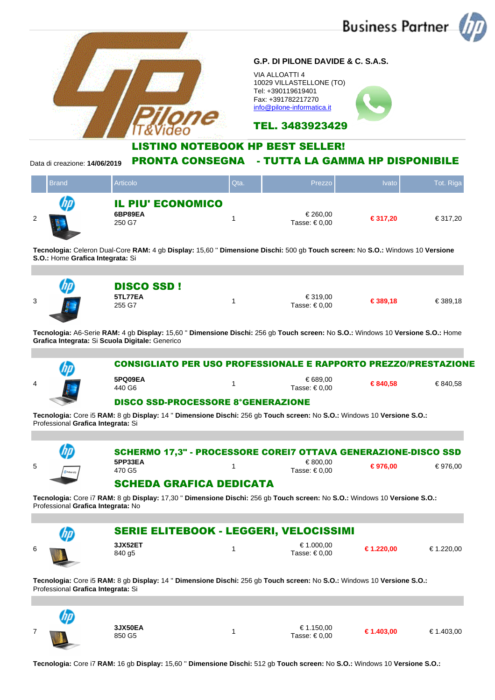

**Tecnologia:** Core i5 **RAM:** 8 gb **Display:** 14 '' **Dimensione Dischi:** 256 gb **Touch screen:** No **S.O.:** Windows 10 **Versione S.O.:** Professional **Grafica Integrata:** Si

48.

| ⋓             | 3JX50EA<br>850 G5 | € 1.150,00<br>Tasse: € 0.00 | € 1.403,00 | € 1.403,00 |
|---------------|-------------------|-----------------------------|------------|------------|
| $\rightarrow$ |                   |                             |            |            |

**Tecnologia:** Core i7 **RAM:** 16 gb **Display:** 15,60 '' **Dimensione Dischi:** 512 gb **Touch screen:** No **S.O.:** Windows 10 **Versione S.O.:**